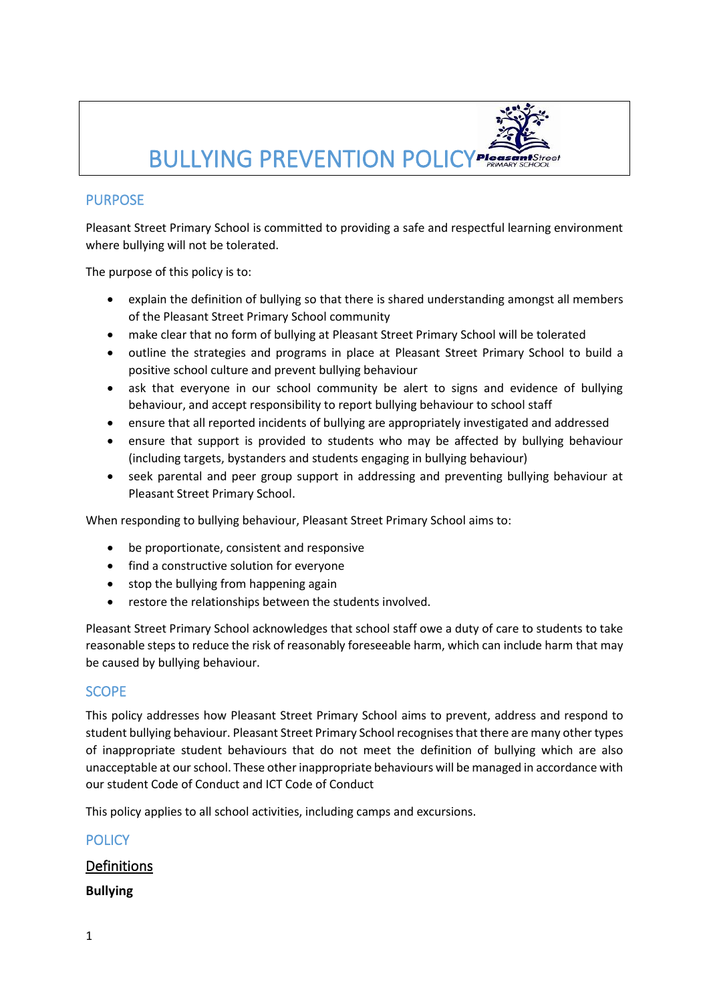

## PURPOSE

Pleasant Street Primary School is committed to providing a safe and respectful learning environment where bullying will not be tolerated.

The purpose of this policy is to:

- explain the definition of bullying so that there is shared understanding amongst all members of the Pleasant Street Primary School community
- make clear that no form of bullying at Pleasant Street Primary School will be tolerated
- outline the strategies and programs in place at Pleasant Street Primary School to build a positive school culture and prevent bullying behaviour
- ask that everyone in our school community be alert to signs and evidence of bullying behaviour, and accept responsibility to report bullying behaviour to school staff
- ensure that all reported incidents of bullying are appropriately investigated and addressed
- ensure that support is provided to students who may be affected by bullying behaviour (including targets, bystanders and students engaging in bullying behaviour)
- seek parental and peer group support in addressing and preventing bullying behaviour at Pleasant Street Primary School.

When responding to bullying behaviour, Pleasant Street Primary School aims to:

- be proportionate, consistent and responsive
- find a constructive solution for everyone
- stop the bullying from happening again
- restore the relationships between the students involved.

Pleasant Street Primary School acknowledges that school staff owe a duty of care to students to take reasonable steps to reduce the risk of reasonably foreseeable harm, which can include harm that may be caused by bullying behaviour.

## **SCOPE**

This policy addresses how Pleasant Street Primary School aims to prevent, address and respond to student bullying behaviour. Pleasant Street Primary School recognises that there are many other types of inappropriate student behaviours that do not meet the definition of bullying which are also unacceptable at our school. These other inappropriate behaviours will be managed in accordance with our student Code of Conduct and ICT Code of Conduct

This policy applies to all school activities, including camps and excursions.

## **POLICY**

## Definitions

**Bullying**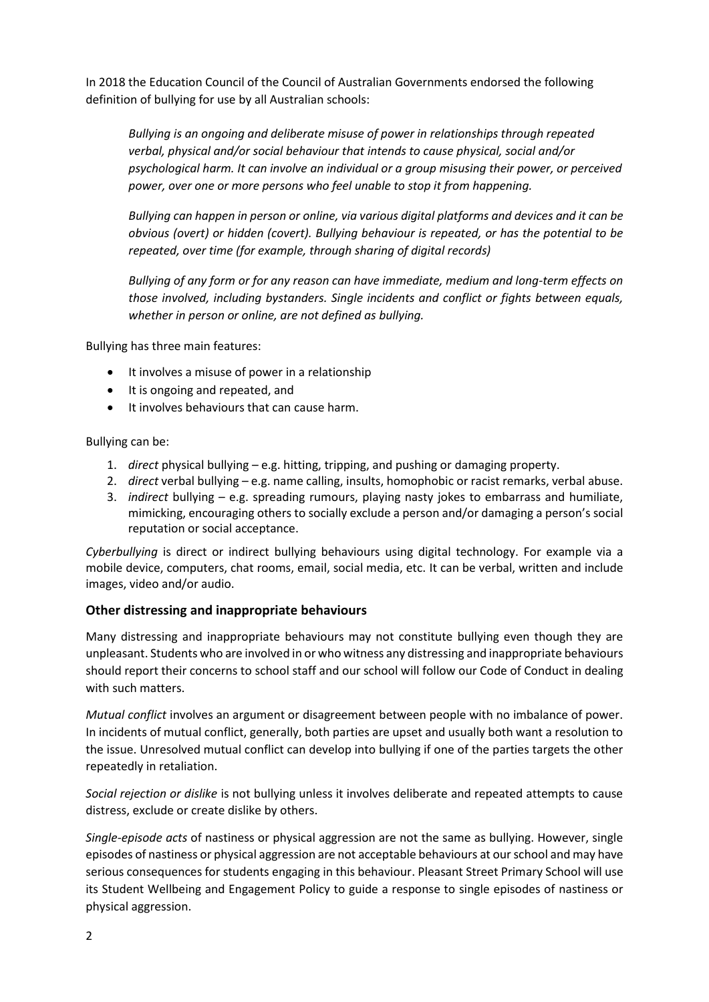In 2018 the Education Council of the Council of Australian Governments endorsed the following definition of bullying for use by all Australian schools:

*Bullying is an ongoing and deliberate misuse of power in relationships through repeated verbal, physical and/or social behaviour that intends to cause physical, social and/or psychological harm. It can involve an individual or a group misusing their power, or perceived power, over one or more persons who feel unable to stop it from happening.*

*Bullying can happen in person or online, via various digital platforms and devices and it can be obvious (overt) or hidden (covert). Bullying behaviour is repeated, or has the potential to be repeated, over time (for example, through sharing of digital records)*

*Bullying of any form or for any reason can have immediate, medium and long-term effects on those involved, including bystanders. Single incidents and conflict or fights between equals, whether in person or online, are not defined as bullying.*

Bullying has three main features:

- It involves a misuse of power in a relationship
- It is ongoing and repeated, and
- It involves behaviours that can cause harm.

#### Bullying can be:

- 1. *direct* physical bullying e.g. hitting, tripping, and pushing or damaging property.
- 2. *direct* verbal bullying e.g. name calling, insults, homophobic or racist remarks, verbal abuse.
- 3. *indirect* bullying e.g. spreading rumours, playing nasty jokes to embarrass and humiliate, mimicking, encouraging others to socially exclude a person and/or damaging a person's social reputation or social acceptance.

*Cyberbullying* is direct or indirect bullying behaviours using digital technology. For example via a mobile device, computers, chat rooms, email, social media, etc. It can be verbal, written and include images, video and/or audio.

#### **Other distressing and inappropriate behaviours**

Many distressing and inappropriate behaviours may not constitute bullying even though they are unpleasant. Students who are involved in or who witness any distressing and inappropriate behaviours should report their concerns to school staff and our school will follow our Code of Conduct in dealing with such matters.

*Mutual conflict* involves an argument or disagreement between people with no imbalance of power. In incidents of mutual conflict, generally, both parties are upset and usually both want a resolution to the issue. Unresolved mutual conflict can develop into bullying if one of the parties targets the other repeatedly in retaliation.

*Social rejection or dislike* is not bullying unless it involves deliberate and repeated attempts to cause distress, exclude or create dislike by others.

*Single-episode acts* of nastiness or physical aggression are not the same as bullying. However, single episodes of nastiness or physical aggression are not acceptable behaviours at our school and may have serious consequences for students engaging in this behaviour. Pleasant Street Primary School will use its Student Wellbeing and Engagement Policy to guide a response to single episodes of nastiness or physical aggression.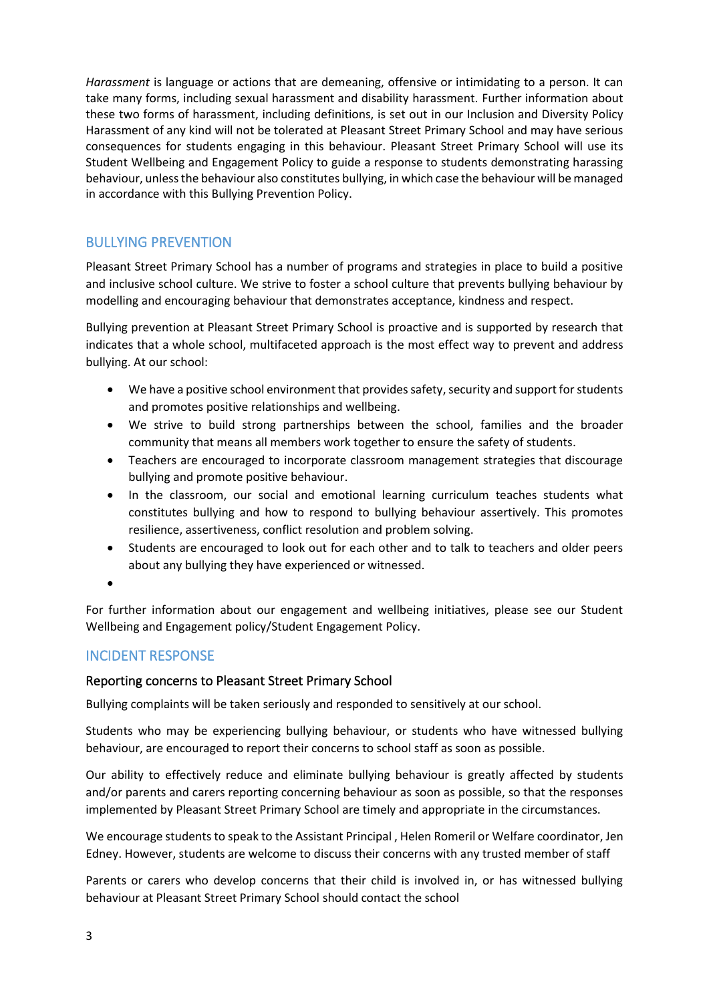*Harassment* is language or actions that are demeaning, offensive or intimidating to a person. It can take many forms, including sexual harassment and disability harassment. Further information about these two forms of harassment, including definitions, is set out in our Inclusion and Diversity Policy Harassment of any kind will not be tolerated at Pleasant Street Primary School and may have serious consequences for students engaging in this behaviour. Pleasant Street Primary School will use its Student Wellbeing and Engagement Policy to guide a response to students demonstrating harassing behaviour, unless the behaviour also constitutes bullying, in which case the behaviour will be managed in accordance with this Bullying Prevention Policy.

# BULLYING PREVENTION

Pleasant Street Primary School has a number of programs and strategies in place to build a positive and inclusive school culture. We strive to foster a school culture that prevents bullying behaviour by modelling and encouraging behaviour that demonstrates acceptance, kindness and respect.

Bullying prevention at Pleasant Street Primary School is proactive and is supported by research that indicates that a whole school, multifaceted approach is the most effect way to prevent and address bullying. At our school:

- We have a positive school environment that provides safety, security and support for students and promotes positive relationships and wellbeing.
- We strive to build strong partnerships between the school, families and the broader community that means all members work together to ensure the safety of students.
- Teachers are encouraged to incorporate classroom management strategies that discourage bullying and promote positive behaviour.
- In the classroom, our social and emotional learning curriculum teaches students what constitutes bullying and how to respond to bullying behaviour assertively. This promotes resilience, assertiveness, conflict resolution and problem solving.
- Students are encouraged to look out for each other and to talk to teachers and older peers about any bullying they have experienced or witnessed.
- •

For further information about our engagement and wellbeing initiatives, please see our Student Wellbeing and Engagement policy/Student Engagement Policy.

## INCIDENT RESPONSE

## Reporting concerns to Pleasant Street Primary School

Bullying complaints will be taken seriously and responded to sensitively at our school.

Students who may be experiencing bullying behaviour, or students who have witnessed bullying behaviour, are encouraged to report their concerns to school staff as soon as possible.

Our ability to effectively reduce and eliminate bullying behaviour is greatly affected by students and/or parents and carers reporting concerning behaviour as soon as possible, so that the responses implemented by Pleasant Street Primary School are timely and appropriate in the circumstances.

We encourage students to speak to the Assistant Principal , Helen Romeril or Welfare coordinator, Jen Edney. However, students are welcome to discuss their concerns with any trusted member of staff

Parents or carers who develop concerns that their child is involved in, or has witnessed bullying behaviour at Pleasant Street Primary School should contact the school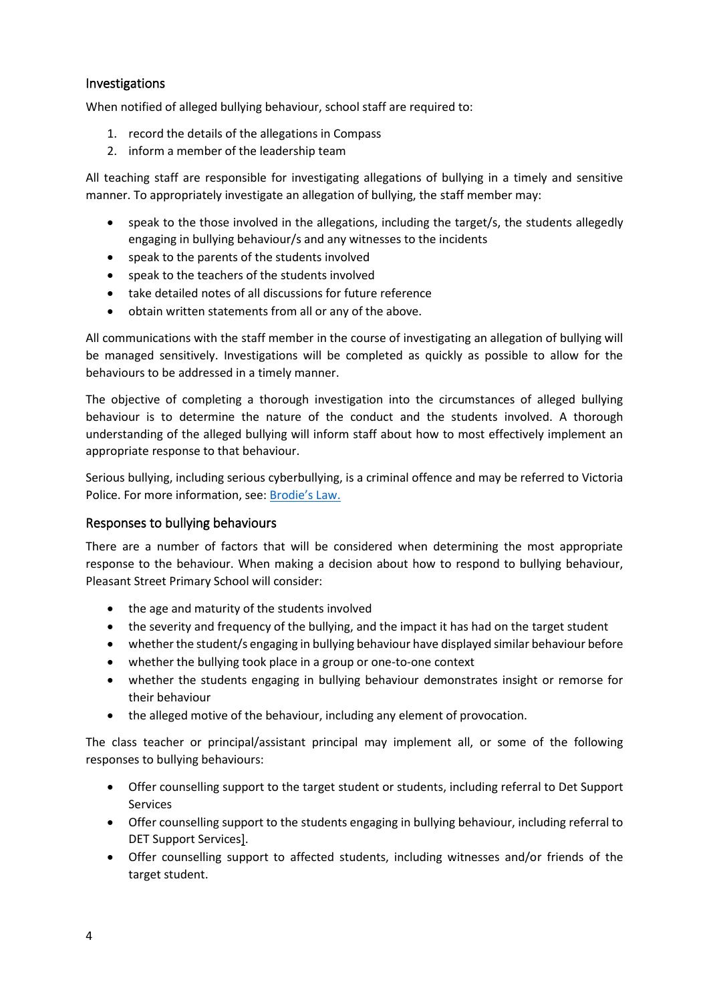#### Investigations

When notified of alleged bullying behaviour, school staff are required to:

- 1. record the details of the allegations in Compass
- 2. inform a member of the leadership team

All teaching staff are responsible for investigating allegations of bullying in a timely and sensitive manner. To appropriately investigate an allegation of bullying, the staff member may:

- speak to the those involved in the allegations, including the target/s, the students allegedly engaging in bullying behaviour/s and any witnesses to the incidents
- speak to the parents of the students involved
- speak to the teachers of the students involved
- take detailed notes of all discussions for future reference
- obtain written statements from all or any of the above.

All communications with the staff member in the course of investigating an allegation of bullying will be managed sensitively. Investigations will be completed as quickly as possible to allow for the behaviours to be addressed in a timely manner.

The objective of completing a thorough investigation into the circumstances of alleged bullying behaviour is to determine the nature of the conduct and the students involved. A thorough understanding of the alleged bullying will inform staff about how to most effectively implement an appropriate response to that behaviour.

Serious bullying, including serious cyberbullying, is a criminal offence and may be referred to Victoria Police. For more information, see: [Brodie's Law.](http://www.education.vic.gov.au/about/programs/bullystoppers/Pages/advicesheetbrodieslaw.aspx)

#### Responses to bullying behaviours

There are a number of factors that will be considered when determining the most appropriate response to the behaviour. When making a decision about how to respond to bullying behaviour, Pleasant Street Primary School will consider:

- the age and maturity of the students involved
- the severity and frequency of the bullying, and the impact it has had on the target student
- whether the student/s engaging in bullying behaviour have displayed similar behaviour before
- whether the bullying took place in a group or one-to-one context
- whether the students engaging in bullying behaviour demonstrates insight or remorse for their behaviour
- the alleged motive of the behaviour, including any element of provocation.

The class teacher or principal/assistant principal may implement all, or some of the following responses to bullying behaviours:

- Offer counselling support to the target student or students, including referral to Det Support Services
- Offer counselling support to the students engaging in bullying behaviour, including referral to DET Support Services].
- Offer counselling support to affected students, including witnesses and/or friends of the target student.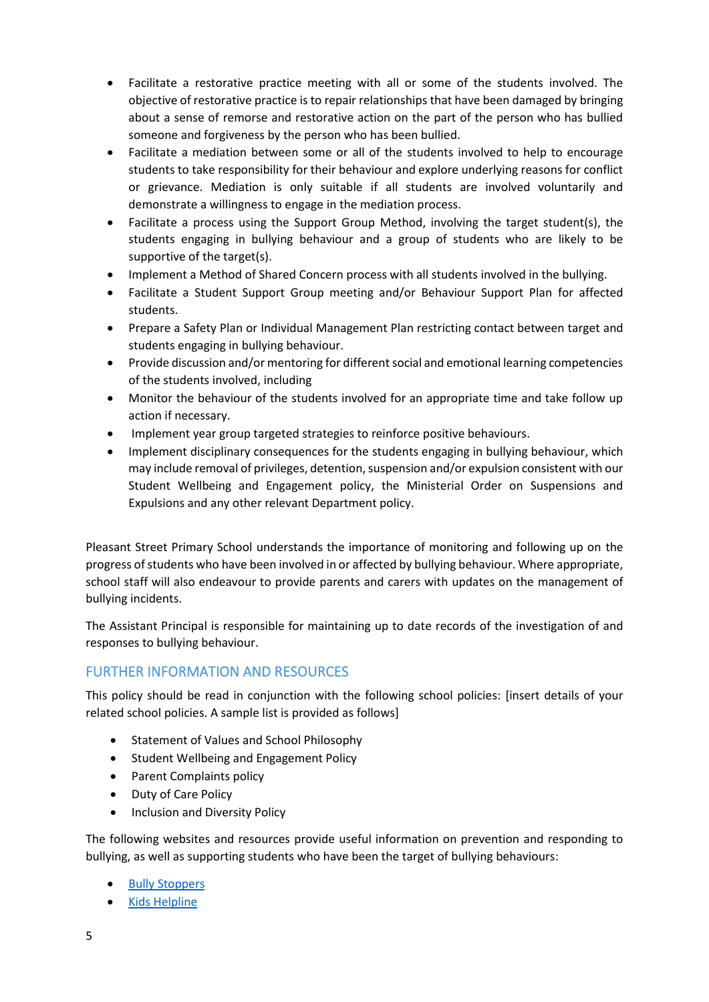- Facilitate a restorative practice meeting with all or some of the students involved. The objective of restorative practice is to repair relationships that have been damaged by bringing about a sense of remorse and restorative action on the part of the person who has bullied someone and forgiveness by the person who has been bullied.
- Facilitate a mediation between some or all of the students involved to help to encourage students to take responsibility for their behaviour and explore underlying reasons for conflict or grievance. Mediation is only suitable if all students are involved voluntarily and demonstrate a willingness to engage in the mediation process.
- Facilitate a process using the Support Group Method, involving the target student(s), the students engaging in bullying behaviour and a group of students who are likely to be supportive of the target(s).
- Implement a Method of Shared Concern process with all students involved in the bullying.
- Facilitate a Student Support Group meeting and/or Behaviour Support Plan for affected students.
- Prepare a Safety Plan or Individual Management Plan restricting contact between target and students engaging in bullying behaviour.
- Provide discussion and/or mentoring for different social and emotional learning competencies of the students involved, including
- Monitor the behaviour of the students involved for an appropriate time and take follow up action if necessary.
- Implement year group targeted strategies to reinforce positive behaviours.
- Implement disciplinary consequences for the students engaging in bullying behaviour, which may include removal of privileges, detention, suspension and/or expulsion consistent with our Student Wellbeing and Engagement policy, the Ministerial Order on Suspensions and Expulsions and any other relevant Department policy.

Pleasant Street Primary School understands the importance of monitoring and following up on the progress of students who have been involved in or affected by bullying behaviour. Where appropriate, school staff will also endeavour to provide parents and carers with updates on the management of bullying incidents.

The Assistant Principal is responsible for maintaining up to date records of the investigation of and responses to bullying behaviour.

## FURTHER INFORMATION AND RESOURCES

This policy should be read in conjunction with the following school policies: [insert details of your related school policies. A sample list is provided as follows]

- Statement of Values and School Philosophy
- Student Wellbeing and Engagement Policy
- Parent Complaints policy
- Duty of Care Policy
- Inclusion and Diversity Policy

The following websites and resources provide useful information on prevention and responding to bullying, as well as supporting students who have been the target of bullying behaviours:

- [Bully Stoppers](https://bullyingnoway.gov.au/PreventingBullying/Planning/Pages/School-policy.aspx)
- Kids [Helpline](https://kidshelpline.com.au/)